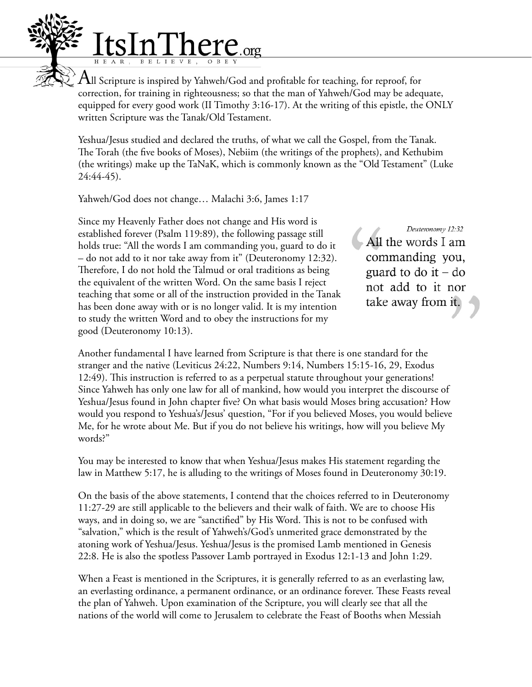$\mathbf{\hat{H}}$ ll Scripture is inspired by Yahweh/God and profitable for teaching, for reproof, for correction, for training in righteousness; so that the man of Yahweh/God may be adequate, equipped for every good work (II Timothy 3:16-17). At the writing of this epistle, the ONLY written Scripture was the Tanak/Old Testament.

Yeshua/Jesus studied and declared the truths, of what we call the Gospel, from the Tanak. The Torah (the five books of Moses), Nebiim (the writings of the prophets), and Kethubim (the writings) make up the TaNaK, which is commonly known as the "Old Testament" (Luke 24:44-45).

Yahweh/God does not change… Malachi 3:6, James 1:17

H E A

Since my Heavenly Father does not change and His word is established forever (Psalm 119:89), the following passage still holds true: "All the words I am commanding you, guard to do it – do not add to it nor take away from it" (Deuteronomy 12:32). Therefore, I do not hold the Talmud or oral traditions as being the equivalent of the written Word. On the same basis I reject teaching that some or all of the instruction provided in the Tanak has been done away with or is no longer valid. It is my intention to study the written Word and to obey the instructions for my good (Deuteronomy 10:13).

Deuteronomy 12:32 All the words I am commanding you, guard to do it  $-$  do not add to it nor take away from it.

Another fundamental I have learned from Scripture is that there is one standard for the stranger and the native (Leviticus 24:22, Numbers 9:14, Numbers 15:15-16, 29, Exodus 12:49). This instruction is referred to as a perpetual statute throughout your generations! Since Yahweh has only one law for all of mankind, how would you interpret the discourse of Yeshua/Jesus found in John chapter five? On what basis would Moses bring accusation? How would you respond to Yeshua's/Jesus' question, "For if you believed Moses, you would believe Me, for he wrote about Me. But if you do not believe his writings, how will you believe My words?"

You may be interested to know that when Yeshua/Jesus makes His statement regarding the law in Matthew 5:17, he is alluding to the writings of Moses found in Deuteronomy 30:19.

On the basis of the above statements, I contend that the choices referred to in Deuteronomy 11:27-29 are still applicable to the believers and their walk of faith. We are to choose His ways, and in doing so, we are "sanctified" by His Word. This is not to be confused with "salvation," which is the result of Yahweh's/God's unmerited grace demonstrated by the atoning work of Yeshua/Jesus. Yeshua/Jesus is the promised Lamb mentioned in Genesis 22:8. He is also the spotless Passover Lamb portrayed in Exodus 12:1-13 and John 1:29.

When a Feast is mentioned in the Scriptures, it is generally referred to as an everlasting law, an everlasting ordinance, a permanent ordinance, or an ordinance forever. These Feasts reveal the plan of Yahweh. Upon examination of the Scripture, you will clearly see that all the nations of the world will come to Jerusalem to celebrate the Feast of Booths when Messiah